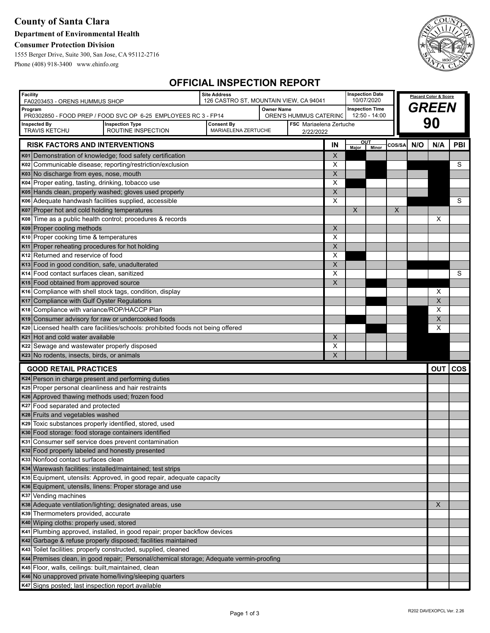## **County of Santa Clara**

## **Department of Environmental Health**

### **Consumer Protection Division**

1555 Berger Drive, Suite 300, San Jose, CA 95112-2716 Phone (408) 918-3400 www.ehinfo.org



# **OFFICIAL INSPECTION REPORT**

| <b>Facility</b><br>FA0203453 - ORENS HUMMUS SHOP                                                                                                | <b>Site Address</b><br>126 CASTRO ST, MOUNTAIN VIEW, CA 94041 |                   |                                             |                         | <b>Inspection Date</b>    | 10/07/2020    |          |       | Placard Color & Score |            |
|-------------------------------------------------------------------------------------------------------------------------------------------------|---------------------------------------------------------------|-------------------|---------------------------------------------|-------------------------|---------------------------|---------------|----------|-------|-----------------------|------------|
| Program                                                                                                                                         |                                                               | <b>Owner Name</b> |                                             |                         | <b>Inspection Time</b>    |               |          | GREEN |                       |            |
| PR0302850 - FOOD PREP / FOOD SVC OP 6-25 EMPLOYEES RC 3 - FP14                                                                                  |                                                               |                   | OREN'S HUMMUS CATERING                      |                         |                           | 12:50 - 14:00 |          |       |                       |            |
| <b>Inspection Type</b><br>Inspected By<br><b>TRAVIS KETCHU</b><br>ROUTINE INSPECTION                                                            | <b>Consent By</b><br>MARIAELENA ZERTUCHE                      |                   | <b>FSC</b> Mariaelena Zertuche<br>2/22/2022 |                         |                           |               |          |       | 90                    |            |
| <b>RISK FACTORS AND INTERVENTIONS</b>                                                                                                           |                                                               |                   |                                             | IN                      | <u>OUT</u><br>Major Minor |               | COS/SA   | N/O   | N/A                   | PBI        |
| K01 Demonstration of knowledge; food safety certification                                                                                       |                                                               |                   |                                             | X                       |                           |               |          |       |                       |            |
| K02 Communicable disease; reporting/restriction/exclusion                                                                                       |                                                               |                   |                                             | X                       |                           |               |          |       |                       | S          |
| K03 No discharge from eyes, nose, mouth                                                                                                         |                                                               |                   |                                             | X                       |                           |               |          |       |                       |            |
| K04 Proper eating, tasting, drinking, tobacco use                                                                                               |                                                               |                   |                                             | X                       |                           |               |          |       |                       |            |
| K05 Hands clean, properly washed; gloves used properly                                                                                          |                                                               |                   |                                             | $\overline{\mathsf{x}}$ |                           |               |          |       |                       |            |
| K06 Adequate handwash facilities supplied, accessible                                                                                           |                                                               |                   |                                             | Х                       |                           |               |          |       |                       | S          |
| K07 Proper hot and cold holding temperatures                                                                                                    |                                                               |                   |                                             |                         | X                         |               | $\times$ |       |                       |            |
| Time as a public health control; procedures & records<br>K08                                                                                    |                                                               |                   |                                             |                         |                           |               |          |       | х                     |            |
| K09 Proper cooling methods                                                                                                                      |                                                               |                   |                                             | $\pmb{\times}$          |                           |               |          |       |                       |            |
| K10 Proper cooking time & temperatures                                                                                                          |                                                               |                   |                                             | X                       |                           |               |          |       |                       |            |
| K <sub>11</sub> Proper reheating procedures for hot holding                                                                                     |                                                               |                   |                                             | $\pmb{\mathsf{X}}$      |                           |               |          |       |                       |            |
| K <sub>12</sub> Returned and reservice of food                                                                                                  |                                                               |                   |                                             | Х                       |                           |               |          |       |                       |            |
| K13 Food in good condition, safe, unadulterated                                                                                                 |                                                               |                   |                                             | X                       |                           |               |          |       |                       |            |
| K <sub>14</sub> Food contact surfaces clean, sanitized                                                                                          |                                                               |                   |                                             | X                       |                           |               |          |       |                       | S          |
| K <sub>15</sub> Food obtained from approved source                                                                                              |                                                               |                   |                                             | $\pmb{\times}$          |                           |               |          |       |                       |            |
| K <sub>16</sub> Compliance with shell stock tags, condition, display                                                                            |                                                               |                   |                                             |                         |                           |               |          |       | Х                     |            |
| K17 Compliance with Gulf Oyster Regulations                                                                                                     |                                                               |                   |                                             |                         |                           |               |          |       | X                     |            |
| K18 Compliance with variance/ROP/HACCP Plan                                                                                                     |                                                               |                   |                                             |                         |                           |               |          |       | X                     |            |
| K <sub>19</sub> Consumer advisory for raw or undercooked foods                                                                                  |                                                               |                   |                                             |                         |                           |               |          |       | X                     |            |
| K <sub>20</sub> Licensed health care facilities/schools: prohibited foods not being offered                                                     |                                                               |                   |                                             |                         |                           |               |          |       | X                     |            |
| K <sub>21</sub> Hot and cold water available                                                                                                    |                                                               |                   |                                             | X                       |                           |               |          |       |                       |            |
| K22 Sewage and wastewater properly disposed                                                                                                     |                                                               |                   |                                             | X                       |                           |               |          |       |                       |            |
| K23 No rodents, insects, birds, or animals                                                                                                      |                                                               |                   |                                             | X                       |                           |               |          |       |                       |            |
| <b>GOOD RETAIL PRACTICES</b>                                                                                                                    |                                                               |                   |                                             |                         |                           |               |          |       | <b>OUT</b>            | <b>COS</b> |
| K24 Person in charge present and performing duties                                                                                              |                                                               |                   |                                             |                         |                           |               |          |       |                       |            |
| K25 Proper personal cleanliness and hair restraints                                                                                             |                                                               |                   |                                             |                         |                           |               |          |       |                       |            |
| K26 Approved thawing methods used; frozen food                                                                                                  |                                                               |                   |                                             |                         |                           |               |          |       |                       |            |
| K27 Food separated and protected                                                                                                                |                                                               |                   |                                             |                         |                           |               |          |       |                       |            |
| K28 Fruits and vegetables washed                                                                                                                |                                                               |                   |                                             |                         |                           |               |          |       |                       |            |
| K29 Toxic substances properly identified, stored, used                                                                                          |                                                               |                   |                                             |                         |                           |               |          |       |                       |            |
| K30 Food storage: food storage containers identified                                                                                            |                                                               |                   |                                             |                         |                           |               |          |       |                       |            |
| K31 Consumer self service does prevent contamination                                                                                            |                                                               |                   |                                             |                         |                           |               |          |       |                       |            |
| K32 Food properly labeled and honestly presented<br>K33 Nonfood contact surfaces clean                                                          |                                                               |                   |                                             |                         |                           |               |          |       |                       |            |
| K34 Warewash facilities: installed/maintained; test strips                                                                                      |                                                               |                   |                                             |                         |                           |               |          |       |                       |            |
| K35 Equipment, utensils: Approved, in good repair, adequate capacity                                                                            |                                                               |                   |                                             |                         |                           |               |          |       |                       |            |
| K36 Equipment, utensils, linens: Proper storage and use                                                                                         |                                                               |                   |                                             |                         |                           |               |          |       |                       |            |
| K37 Vending machines                                                                                                                            |                                                               |                   |                                             |                         |                           |               |          |       |                       |            |
| K38 Adequate ventilation/lighting; designated areas, use                                                                                        |                                                               |                   |                                             |                         |                           | X             |          |       |                       |            |
| K39 Thermometers provided, accurate                                                                                                             |                                                               |                   |                                             |                         |                           |               |          |       |                       |            |
| K40 Wiping cloths: properly used, stored                                                                                                        |                                                               |                   |                                             |                         |                           |               |          |       |                       |            |
| K41 Plumbing approved, installed, in good repair; proper backflow devices                                                                       |                                                               |                   |                                             |                         |                           |               |          |       |                       |            |
| K42 Garbage & refuse properly disposed; facilities maintained                                                                                   |                                                               |                   |                                             |                         |                           |               |          |       |                       |            |
| K43 Toilet facilities: properly constructed, supplied, cleaned                                                                                  |                                                               |                   |                                             |                         |                           |               |          |       |                       |            |
|                                                                                                                                                 |                                                               |                   |                                             |                         |                           |               |          |       |                       |            |
|                                                                                                                                                 |                                                               |                   |                                             |                         |                           |               |          |       |                       |            |
| K44 Premises clean, in good repair; Personal/chemical storage; Adequate vermin-proofing<br>K45 Floor, walls, ceilings: built, maintained, clean |                                                               |                   |                                             |                         |                           |               |          |       |                       |            |
| K46 No unapproved private home/living/sleeping quarters                                                                                         |                                                               |                   |                                             |                         |                           |               |          |       |                       |            |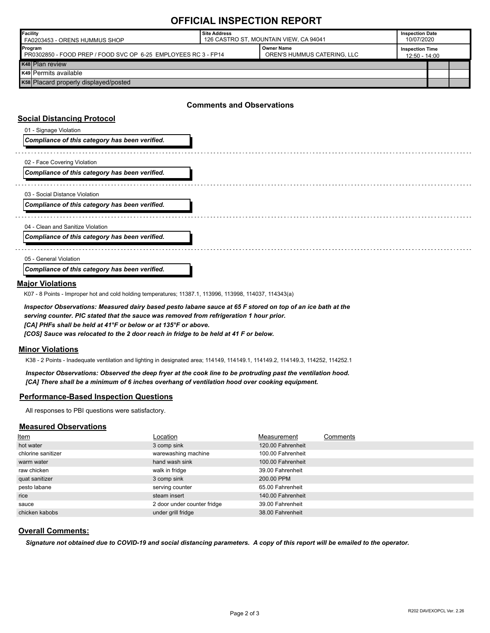## **OFFICIAL INSPECTION REPORT**

| Facility<br>FA0203453 - ORENS HUMMUS SHOP                                                                                     | <b>Site Address</b><br>126 CASTRO ST, MOUNTAIN VIEW, CA 94041 |  | <b>Inspection Date</b><br>10/07/2020    |  |  |
|-------------------------------------------------------------------------------------------------------------------------------|---------------------------------------------------------------|--|-----------------------------------------|--|--|
| <b>Owner Name</b><br>Program<br>OREN'S HUMMUS CATERING, LLC<br>PR0302850 - FOOD PREP / FOOD SVC OP 6-25 EMPLOYEES RC 3 - FP14 |                                                               |  | <b>Inspection Time</b><br>12:50 - 14:00 |  |  |
| K48 Plan review                                                                                                               |                                                               |  |                                         |  |  |
| K49 Permits available                                                                                                         |                                                               |  |                                         |  |  |
| K58 Placard properly displayed/posted                                                                                         |                                                               |  |                                         |  |  |

### **Comments and Observations**

#### **Social Distancing Protocol**

| 01 - Signage Violation<br>Compliance of this category has been verified.         |  |
|----------------------------------------------------------------------------------|--|
| 02 - Face Covering Violation<br>Compliance of this category has been verified.   |  |
| 03 - Social Distance Violation<br>Compliance of this category has been verified. |  |
| 04 - Clean and Sanitize Violation                                                |  |
| Compliance of this category has been verified.                                   |  |
| 05 - General Violation<br>Compliance of this category has been verified.         |  |

### **Major Violations**

K07 - 8 Points - Improper hot and cold holding temperatures; 11387.1, 113996, 113998, 114037, 114343(a)

*Inspector Observations: Measured dairy based pesto labane sauce at 65 F stored on top of an ice bath at the serving counter. PIC stated that the sauce was removed from refrigeration 1 hour prior. [CA] PHFs shall be held at 41°F or below or at 135°F or above. [COS] Sauce was relocated to the 2 door reach in fridge to be held at 41 F or below.*

#### **Minor Violations**

K38 - 2 Points - Inadequate ventilation and lighting in designated area; 114149, 114149.1, 114149.2, 114149.3, 114252, 114252.1

*Inspector Observations: Observed the deep fryer at the cook line to be protruding past the ventilation hood. [CA] There shall be a minimum of 6 inches overhang of ventilation hood over cooking equipment.*

#### **Performance-Based Inspection Questions**

All responses to PBI questions were satisfactory.

#### **Measured Observations**

| Item               | Location                    | Measurement       | Comments |
|--------------------|-----------------------------|-------------------|----------|
| hot water          | 3 comp sink                 | 120.00 Fahrenheit |          |
| chlorine sanitizer | warewashing machine         | 100.00 Fahrenheit |          |
| warm water         | hand wash sink              | 100.00 Fahrenheit |          |
| raw chicken        | walk in fridge              | 39.00 Fahrenheit  |          |
| quat sanitizer     | 3 comp sink                 | 200.00 PPM        |          |
| pesto labane       | serving counter             | 65.00 Fahrenheit  |          |
| rice               | steam insert                | 140.00 Fahrenheit |          |
| sauce              | 2 door under counter fridge | 39.00 Fahrenheit  |          |
| chicken kabobs     | under grill fridge          | 38.00 Fahrenheit  |          |

#### **Overall Comments:**

*Signature not obtained due to COVID-19 and social distancing parameters. A copy of this report will be emailed to the operator.*